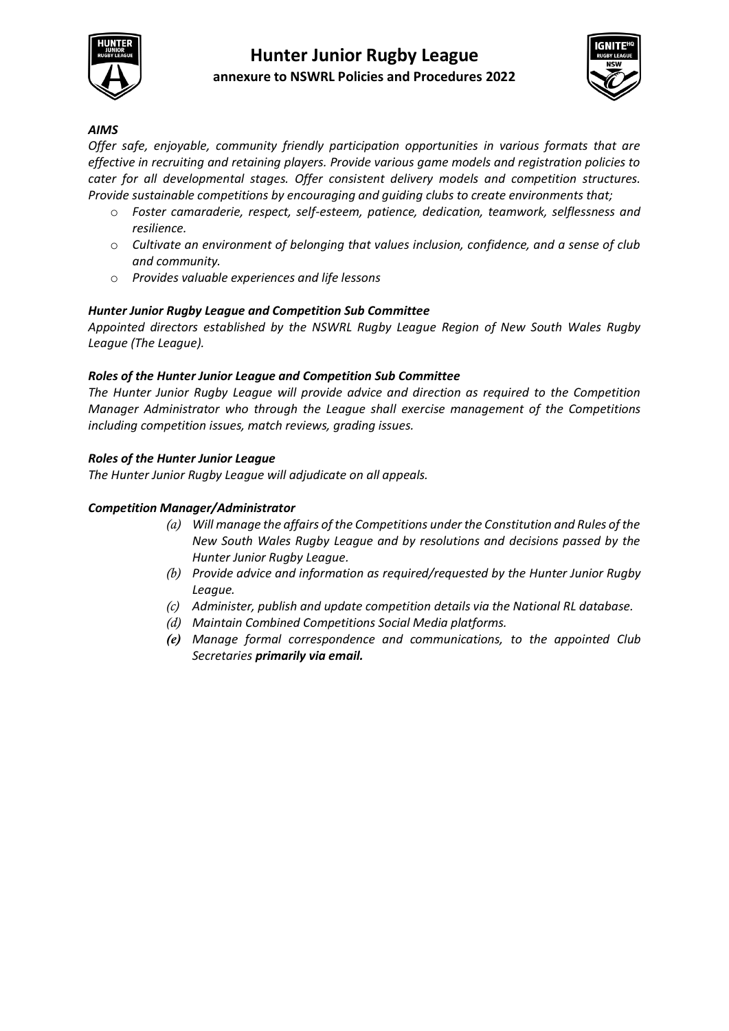

## **Hunter Junior Rugby League annexure to NSWRL Policies and Procedures 2022**



## *AIMS*

*Offer safe, enjoyable, community friendly participation opportunities in various formats that are effective in recruiting and retaining players. Provide various game models and registration policies to cater for all developmental stages. Offer consistent delivery models and competition structures. Provide sustainable competitions by encouraging and guiding clubs to create environments that;* 

- o *Foster camaraderie, respect, self-esteem, patience, dedication, teamwork, selflessness and resilience.*
- o *Cultivate an environment of belonging that values inclusion, confidence, and a sense of club and community.*
- o *Provides valuable experiences and life lessons*

## *Hunter Junior Rugby League and Competition Sub Committee*

*Appointed directors established by the NSWRL Rugby League Region of New South Wales Rugby League (The League).*

#### *Roles of the Hunter Junior League and Competition Sub Committee*

*The Hunter Junior Rugby League will provide advice and direction as required to the Competition Manager Administrator who through the League shall exercise management of the Competitions including competition issues, match reviews, grading issues.* 

#### *Roles of the Hunter Junior League*

*The Hunter Junior Rugby League will adjudicate on all appeals.*

#### *Competition Manager/Administrator*

- *(a) Will manage the affairs of the Competitions under the Constitution and Rules of the New South Wales Rugby League and by resolutions and decisions passed by the Hunter Junior Rugby League.*
- *(b) Provide advice and information as required/requested by the Hunter Junior Rugby League.*
- *(c) Administer, publish and update competition details via the National RL database.*
- *(d) Maintain Combined Competitions Social Media platforms.*
- *(e) Manage formal correspondence and communications, to the appointed Club Secretaries primarily via email.*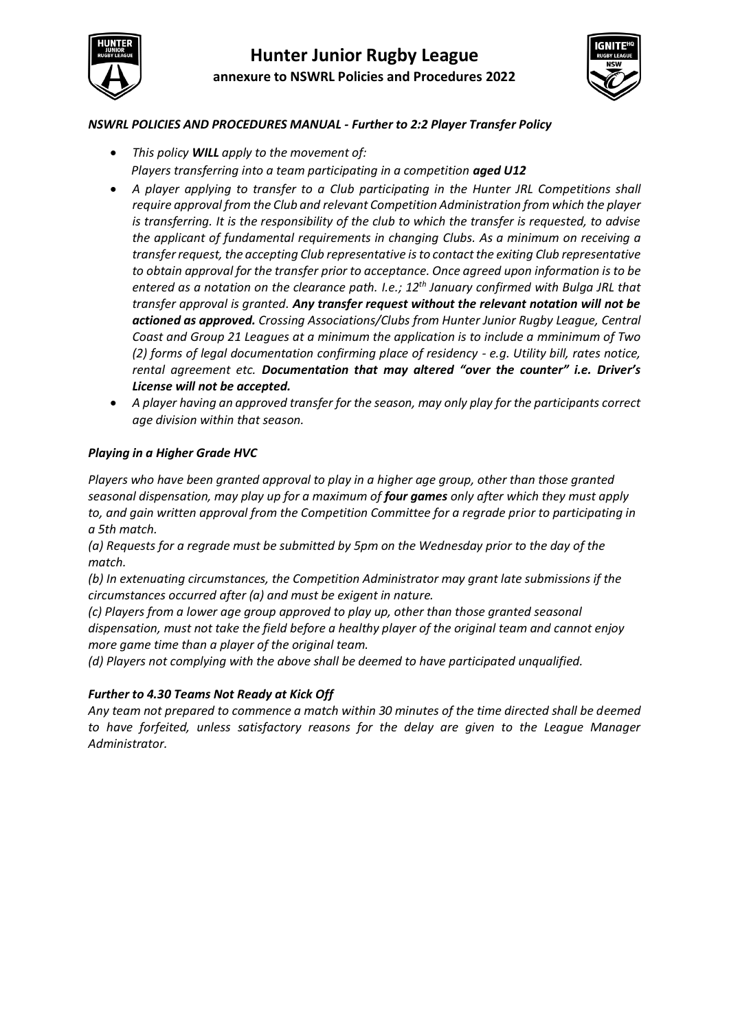



## *NSWRL POLICIES AND PROCEDURES MANUAL - Further to 2:2 Player Transfer Policy*

- *This policy WILL apply to the movement of: Players transferring into a team participating in a competition aged U12*
- *A player applying to transfer to a Club participating in the Hunter JRL Competitions shall require approval from the Club and relevant Competition Administration from which the player is transferring. It is the responsibility of the club to which the transfer is requested, to advise the applicant of fundamental requirements in changing Clubs. As a minimum on receiving a transfer request, the accepting Club representative is to contact the exiting Club representative to obtain approval for the transfer prior to acceptance. Once agreed upon information is to be entered as a notation on the clearance path. I.e.; 12th January confirmed with Bulga JRL that transfer approval is granted. Any transfer request without the relevant notation will not be actioned as approved. Crossing Associations/Clubs from Hunter Junior Rugby League, Central Coast and Group 21 Leagues at a minimum the application is to include a mminimum of Two (2) forms of legal documentation confirming place of residency - e.g. Utility bill, rates notice, rental agreement etc. Documentation that may altered "over the counter" i.e. Driver's License will not be accepted.*
- *A player having an approved transfer for the season, may only play for the participants correct age division within that season.*

## *Playing in a Higher Grade HVC*

*Players who have been granted approval to play in a higher age group, other than those granted seasonal dispensation, may play up for a maximum of four games only after which they must apply to, and gain written approval from the Competition Committee for a regrade prior to participating in a 5th match.* 

*(a) Requests for a regrade must be submitted by 5pm on the Wednesday prior to the day of the match.*

*(b) In extenuating circumstances, the Competition Administrator may grant late submissions if the circumstances occurred after (a) and must be exigent in nature.*

*(c) Players from a lower age group approved to play up, other than those granted seasonal dispensation, must not take the field before a healthy player of the original team and cannot enjoy more game time than a player of the original team.*

*(d) Players not complying with the above shall be deemed to have participated unqualified.*

## *Further to 4.30 Teams Not Ready at Kick Off*

*Any team not prepared to commence a match within 30 minutes of the time directed shall be deemed to have forfeited, unless satisfactory reasons for the delay are given to the League Manager Administrator.*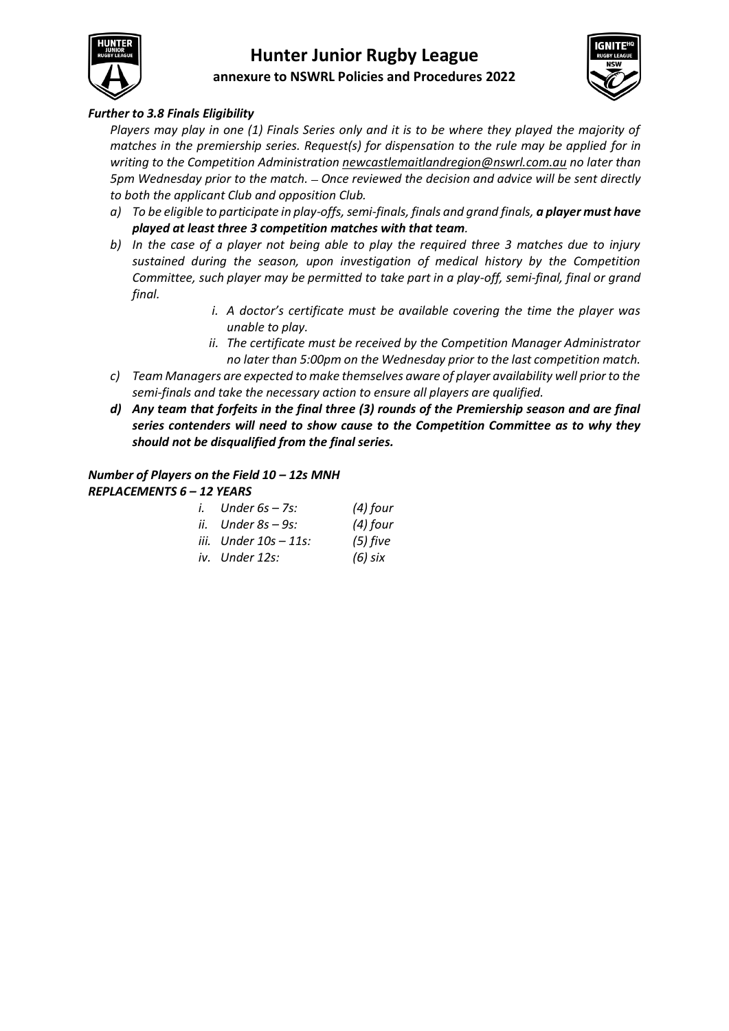

# **Hunter Junior Rugby League annexure to NSWRL Policies and Procedures 2022**



## *Further to 3.8 Finals Eligibility*

*Players may play in one (1) Finals Series only and it is to be where they played the majority of matches in the premiership series. Request(s) for dispensation to the rule may be applied for in writing to the Competition Administratio[n newcastlemaitlandregion@nswrl.com.au](mailto:newcastlemaitlandregion@nswrl.com.au) no later than 5pm Wednesday prior to the match. Once reviewed the decision and advice will be sent directly to both the applicant Club and opposition Club.*

- *a) To be eligible to participate in play-offs, semi-finals, finals and grand finals, a player must have played at least three 3 competition matches with that team.*
- *b) In the case of a player not being able to play the required three 3 matches due to injury sustained during the season, upon investigation of medical history by the Competition Committee, such player may be permitted to take part in a play-off, semi-final, final or grand final.* 
	- *i. A doctor's certificate must be available covering the time the player was unable to play.*
	- *ii. The certificate must be received by the Competition Manager Administrator no later than 5:00pm on the Wednesday prior to the last competition match.*
- *c) Team Managers are expected to make themselves aware of player availability well prior to the semi-finals and take the necessary action to ensure all players are qualified.*
- *d) Any team that forfeits in the final three (3) rounds of the Premiership season and are final series contenders will need to show cause to the Competition Committee as to why they should not be disqualified from the final series.*

## *Number of Players on the Field 10 – 12s MNH*

| <b>REPLACEMENTS 6 - 12 YEARS</b> |  |                          |            |
|----------------------------------|--|--------------------------|------------|
|                                  |  | i. Under $6s - 7s$ :     | (4) four   |
|                                  |  | ii. $Under 8s - 9s$ :    | $(4)$ four |
|                                  |  | iii. $Under 10s - 11s$ : | $(5)$ five |
|                                  |  | iv. Under 12s:           | (6) six    |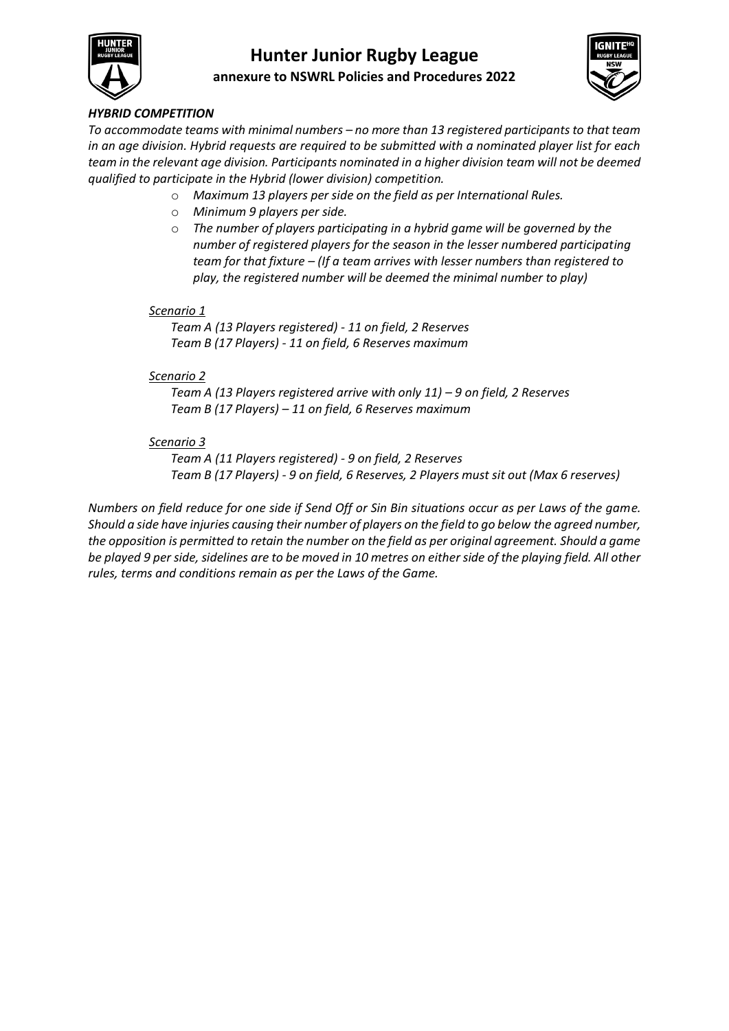

# **Hunter Junior Rugby League annexure to NSWRL Policies and Procedures 2022**



## *HYBRID COMPETITION*

*To accommodate teams with minimal numbers – no more than 13 registered participants to that team in an age division. Hybrid requests are required to be submitted with a nominated player list for each team in the relevant age division. Participants nominated in a higher division team will not be deemed qualified to participate in the Hybrid (lower division) competition.*

- o *Maximum 13 players per side on the field as per International Rules.*
- o *Minimum 9 players per side.*
- o *The number of players participating in a hybrid game will be governed by the number of registered players for the season in the lesser numbered participating team for that fixture – (If a team arrives with lesser numbers than registered to play, the registered number will be deemed the minimal number to play)*

## *Scenario 1*

*Team A (13 Players registered) - 11 on field, 2 Reserves Team B (17 Players) - 11 on field, 6 Reserves maximum*

## *Scenario 2*

*Team A (13 Players registered arrive with only 11) – 9 on field, 2 Reserves Team B (17 Players) – 11 on field, 6 Reserves maximum*

## *Scenario 3*

*Team A (11 Players registered) - 9 on field, 2 Reserves Team B (17 Players) - 9 on field, 6 Reserves, 2 Players must sit out (Max 6 reserves)* 

*Numbers on field reduce for one side if Send Off or Sin Bin situations occur as per Laws of the game. Should a side have injuries causing their number of players on the field to go below the agreed number, the opposition is permitted to retain the number on the field as per original agreement. Should a game be played 9 per side, sidelines are to be moved in 10 metres on either side of the playing field. All other rules, terms and conditions remain as per the Laws of the Game.*